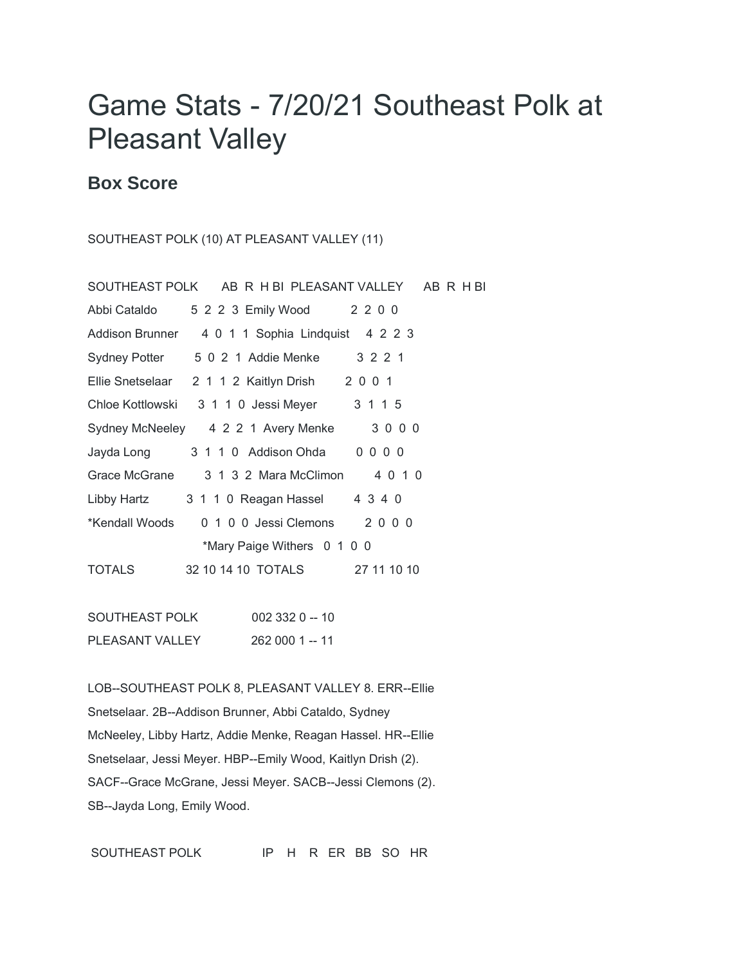## Game Stats - 7/20/21 Southeast Polk at Pleasant Valley

## **Box Score**

## SOUTHEAST POLK (10) AT PLEASANT VALLEY (11)

|                | SOUTHEAST POLK AB R H BI PLEASANT VALLEY AB R H BI |             |
|----------------|----------------------------------------------------|-------------|
| Abbi Cataldo   | 5 2 2 3 Emily Wood 2 2 0 0                         |             |
|                | Addison Brunner 4 0 1 1 Sophia Lindquist 4 2 2 3   |             |
|                | Sydney Potter 5 0 2 1 Addie Menke 3 2 2 1          |             |
|                | Ellie Snetselaar 2 1 1 2 Kaitlyn Drish 2 0 0 1     |             |
|                | Chloe Kottlowski 3 1 1 0 Jessi Meyer 3 1 1 5       |             |
|                | Sydney McNeeley 4 2 2 1 Avery Menke                | 3000        |
| Jayda Long     | 3 1 1 0 Addison Ohda 0 0 0 0                       |             |
| Grace McGrane  | 3 1 3 2 Mara McClimon 4 0 1 0                      |             |
| Libby Hartz    | 3 1 1 0 Reagan Hassel 4 3 4 0                      |             |
| *Kendall Woods | 0 1 0 0 Jessi Clemons 2 0 0 0                      |             |
|                | *Mary Paige Withers 0 1 0 0                        |             |
| TOTALS         | 32 10 14 10 TOTALS                                 | 27 11 10 10 |
|                |                                                    |             |

SOUTHEAST POLK 002 332 0 -- 10 PLEASANT VALLEY 262 000 1 -- 11

LOB--SOUTHEAST POLK 8, PLEASANT VALLEY 8. ERR--Ellie Snetselaar. 2B--Addison Brunner, Abbi Cataldo, Sydney McNeeley, Libby Hartz, Addie Menke, Reagan Hassel. HR--Ellie Snetselaar, Jessi Meyer. HBP--Emily Wood, Kaitlyn Drish (2). SACF--Grace McGrane, Jessi Meyer. SACB--Jessi Clemons (2). SB--Jayda Long, Emily Wood.

SOUTHEAST POLK IP H R ER BB SO HR